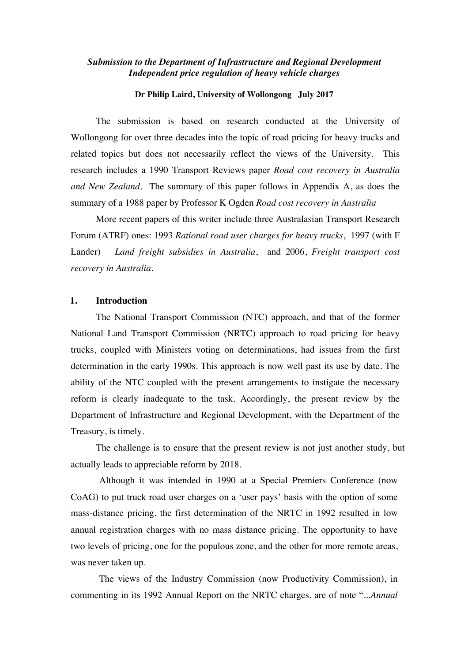## *Submission to the Department of Infrastructure and Regional Development Independent price regulation of heavy vehicle charges*

#### **Dr Philip Laird, University of Wollongong July 2017**

The submission is based on research conducted at the University of Wollongong for over three decades into the topic of road pricing for heavy trucks and related topics but does not necessarily reflect the views of the University. This research includes a 1990 Transport Reviews paper *Road cost recovery in Australia and New Zealand.* The summary of this paper follows in Appendix A, as does the summary of a 1988 paper by Professor K Ogden *Road cost recovery in Australia*

More recent papers of this writer include three Australasian Transport Research Forum (ATRF) ones: 1993 *Rational road user charges for heavy trucks*, 1997 (with F Lander) *Land freight subsidies in Australia*, and 2006, *Freight transport cost recovery in Australia*.

## **1. Introduction**

The National Transport Commission (NTC) approach, and that of the former National Land Transport Commission (NRTC) approach to road pricing for heavy trucks, coupled with Ministers voting on determinations, had issues from the first determination in the early 1990s. This approach is now well past its use by date. The ability of the NTC coupled with the present arrangements to instigate the necessary reform is clearly inadequate to the task. Accordingly, the present review by the Department of Infrastructure and Regional Development, with the Department of the Treasury, is timely.

The challenge is to ensure that the present review is not just another study, but actually leads to appreciable reform by 2018.

Although it was intended in 1990 at a Special Premiers Conference (now CoAG) to put truck road user charges on a 'user pays' basis with the option of some mass-distance pricing, the first determination of the NRTC in 1992 resulted in low annual registration charges with no mass distance pricing. The opportunity to have two levels of pricing, one for the populous zone, and the other for more remote areas, was never taken up.

The views of the Industry Commission (now Productivity Commission), in commenting in its 1992 Annual Report on the NRTC charges, are of note ".*..Annual*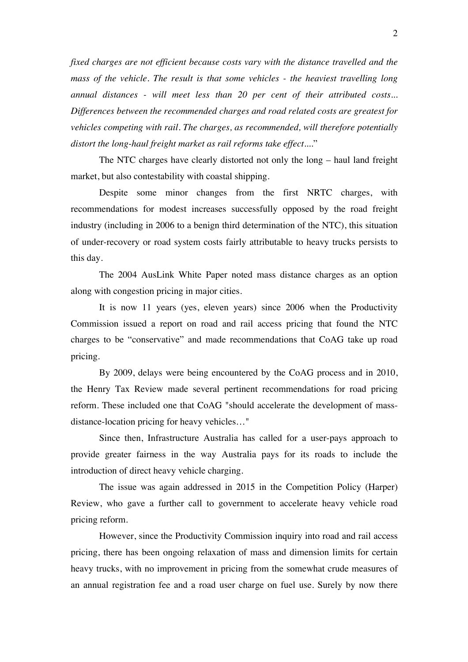*fixed charges are not efficient because costs vary with the distance travelled and the mass of the vehicle. The result is that some vehicles - the heaviest travelling long annual distances - will meet less than 20 per cent of their attributed costs... Differences between the recommended charges and road related costs are greatest for vehicles competing with rail. The charges, as recommended, will therefore potentially distort the long-haul freight market as rail reforms take effect....*"

The NTC charges have clearly distorted not only the long – haul land freight market, but also contestability with coastal shipping.

Despite some minor changes from the first NRTC charges, with recommendations for modest increases successfully opposed by the road freight industry (including in 2006 to a benign third determination of the NTC), this situation of under-recovery or road system costs fairly attributable to heavy trucks persists to this day.

The 2004 AusLink White Paper noted mass distance charges as an option along with congestion pricing in major cities.

It is now 11 years (yes, eleven years) since 2006 when the Productivity Commission issued a report on road and rail access pricing that found the NTC charges to be "conservative" and made recommendations that CoAG take up road pricing.

By 2009, delays were being encountered by the CoAG process and in 2010, the Henry Tax Review made several pertinent recommendations for road pricing reform. These included one that CoAG "should accelerate the development of massdistance-location pricing for heavy vehicles…"

Since then, Infrastructure Australia has called for a user-pays approach to provide greater fairness in the way Australia pays for its roads to include the introduction of direct heavy vehicle charging.

The issue was again addressed in 2015 in the Competition Policy (Harper) Review, who gave a further call to government to accelerate heavy vehicle road pricing reform.

However, since the Productivity Commission inquiry into road and rail access pricing, there has been ongoing relaxation of mass and dimension limits for certain heavy trucks, with no improvement in pricing from the somewhat crude measures of an annual registration fee and a road user charge on fuel use. Surely by now there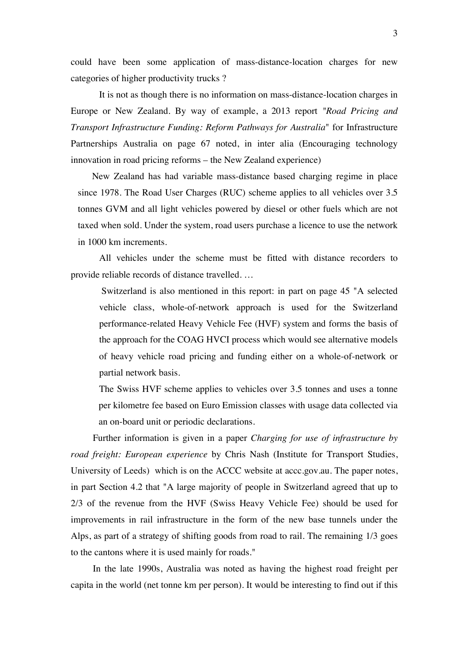could have been some application of mass-distance-location charges for new categories of higher productivity trucks ?

It is not as though there is no information on mass-distance-location charges in Europe or New Zealand. By way of example, a 2013 report *"Road Pricing and Transport Infrastructure Funding: Reform Pathways for Australia*" for Infrastructure Partnerships Australia on page 67 noted, in inter alia (Encouraging technology innovation in road pricing reforms – the New Zealand experience)

New Zealand has had variable mass-distance based charging regime in place since 1978. The Road User Charges (RUC) scheme applies to all vehicles over 3.5 tonnes GVM and all light vehicles powered by diesel or other fuels which are not taxed when sold. Under the system, road users purchase a licence to use the network in 1000 km increments.

All vehicles under the scheme must be fitted with distance recorders to provide reliable records of distance travelled. …

Switzerland is also mentioned in this report: in part on page 45 "A selected vehicle class, whole-of-network approach is used for the Switzerland performance-related Heavy Vehicle Fee (HVF) system and forms the basis of the approach for the COAG HVCI process which would see alternative models of heavy vehicle road pricing and funding either on a whole-of-network or partial network basis.

The Swiss HVF scheme applies to vehicles over 3.5 tonnes and uses a tonne per kilometre fee based on Euro Emission classes with usage data collected via an on-board unit or periodic declarations.

Further information is given in a paper *Charging for use of infrastructure by road freight: European experience* by Chris Nash (Institute for Transport Studies, University of Leeds) which is on the ACCC website at accc.gov.au. The paper notes, in part Section 4.2 that "A large majority of people in Switzerland agreed that up to 2/3 of the revenue from the HVF (Swiss Heavy Vehicle Fee) should be used for improvements in rail infrastructure in the form of the new base tunnels under the Alps, as part of a strategy of shifting goods from road to rail. The remaining 1/3 goes to the cantons where it is used mainly for roads."

In the late 1990s, Australia was noted as having the highest road freight per capita in the world (net tonne km per person). It would be interesting to find out if this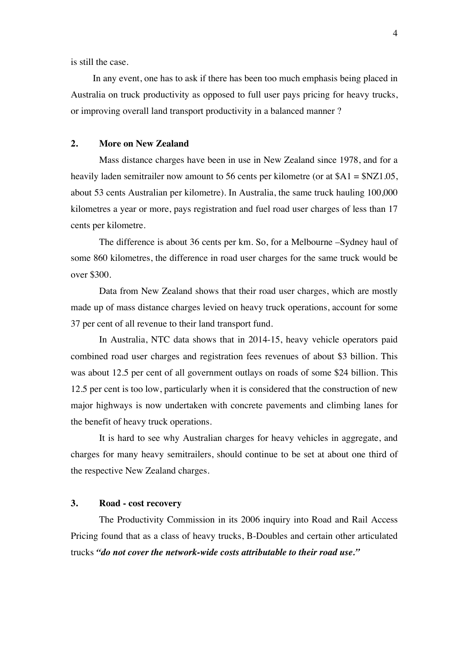is still the case.

In any event, one has to ask if there has been too much emphasis being placed in Australia on truck productivity as opposed to full user pays pricing for heavy trucks, or improving overall land transport productivity in a balanced manner ?

#### **2. More on New Zealand**

Mass distance charges have been in use in New Zealand since 1978, and for a heavily laden semitrailer now amount to 56 cents per kilometre (or at  $A1 = SNZ1.05$ , about 53 cents Australian per kilometre). In Australia, the same truck hauling 100,000 kilometres a year or more, pays registration and fuel road user charges of less than 17 cents per kilometre.

The difference is about 36 cents per km. So, for a Melbourne –Sydney haul of some 860 kilometres, the difference in road user charges for the same truck would be over \$300.

Data from New Zealand shows that their road user charges, which are mostly made up of mass distance charges levied on heavy truck operations, account for some 37 per cent of all revenue to their land transport fund.

In Australia, NTC data shows that in 2014-15, heavy vehicle operators paid combined road user charges and registration fees revenues of about \$3 billion. This was about 12.5 per cent of all government outlays on roads of some \$24 billion. This 12.5 per cent is too low, particularly when it is considered that the construction of new major highways is now undertaken with concrete pavements and climbing lanes for the benefit of heavy truck operations.

It is hard to see why Australian charges for heavy vehicles in aggregate, and charges for many heavy semitrailers, should continue to be set at about one third of the respective New Zealand charges.

## **3. Road - cost recovery**

The Productivity Commission in its 2006 inquiry into Road and Rail Access Pricing found that as a class of heavy trucks, B-Doubles and certain other articulated trucks *"do not cover the network-wide costs attributable to their road use."*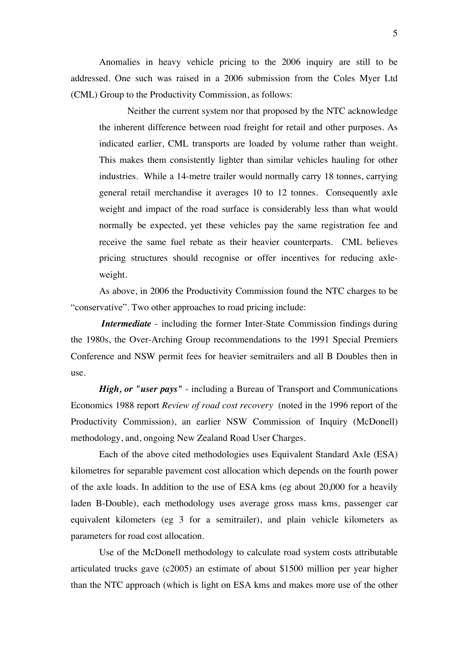Anomalies in heavy vehicle pricing to the 2006 inquiry are still to be addressed. One such was raised in a 2006 submission from the Coles Myer Ltd (CML) Group to the Productivity Commission, as follows:

Neither the current system nor that proposed by the NTC acknowledge the inherent difference between road freight for retail and other purposes. As indicated earlier, CML transports are loaded by volume rather than weight. This makes them consistently lighter than similar vehicles hauling for other industries. While a 14-metre trailer would normally carry 18 tonnes, carrying general retail merchandise it averages 10 to 12 tonnes. Consequently axle weight and impact of the road surface is considerably less than what would normally be expected, yet these vehicles pay the same registration fee and receive the same fuel rebate as their heavier counterparts. CML believes pricing structures should recognise or offer incentives for reducing axleweight.

As above, in 2006 the Productivity Commission found the NTC charges to be "conservative". Two other approaches to road pricing include:

*Intermediate* - including the former Inter-State Commission findings during the 1980s, the Over-Arching Group recommendations to the 1991 Special Premiers Conference and NSW permit fees for heavier semitrailers and all B Doubles then in use.

*High, or "user pays"* - including a Bureau of Transport and Communications Economics 1988 report *Review of road cost recovery* (noted in the 1996 report of the Productivity Commission), an earlier NSW Commission of Inquiry (McDonell) methodology, and, ongoing New Zealand Road User Charges.

Each of the above cited methodologies uses Equivalent Standard Axle (ESA) kilometres for separable pavement cost allocation which depends on the fourth power of the axle loads. In addition to the use of ESA kms (eg about 20,000 for a heavily laden B-Double), each methodology uses average gross mass kms, passenger car equivalent kilometers (eg 3 for a semitrailer), and plain vehicle kilometers as parameters for road cost allocation.

Use of the McDonell methodology to calculate road system costs attributable articulated trucks gave (c2005) an estimate of about \$1500 million per year higher than the NTC approach (which is light on ESA kms and makes more use of the other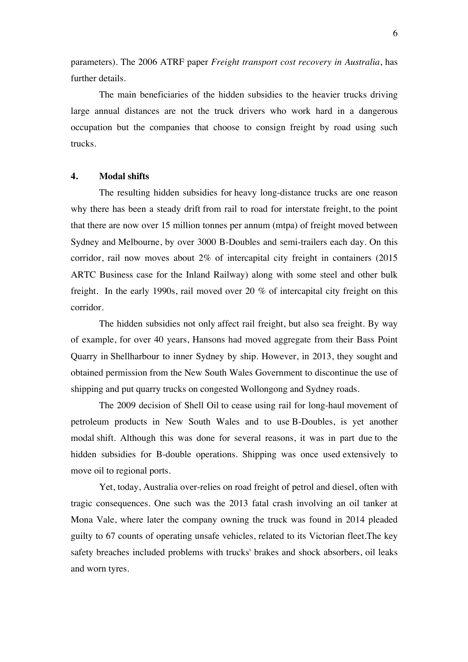parameters). The 2006 ATRF paper *Freight transport cost recovery in Australia*, has further details.

The main beneficiaries of the hidden subsidies to the heavier trucks driving large annual distances are not the truck drivers who work hard in a dangerous occupation but the companies that choose to consign freight by road using such trucks.

### **4. Modal shifts**

The resulting hidden subsidies for heavy long-distance trucks are one reason why there has been a steady drift from rail to road for interstate freight, to the point that there are now over 15 million tonnes per annum (mtpa) of freight moved between Sydney and Melbourne, by over 3000 B-Doubles and semi-trailers each day. On this corridor, rail now moves about 2% of intercapital city freight in containers (2015 ARTC Business case for the Inland Railway) along with some steel and other bulk freight. In the early 1990s, rail moved over 20 % of intercapital city freight on this corridor.

The hidden subsidies not only affect rail freight, but also sea freight. By way of example, for over 40 years, Hansons had moved aggregate from their Bass Point Quarry in Shellharbour to inner Sydney by ship. However, in 2013, they sought and obtained permission from the New South Wales Government to discontinue the use of shipping and put quarry trucks on congested Wollongong and Sydney roads.

The 2009 decision of Shell Oil to cease using rail for long-haul movement of petroleum products in New South Wales and to use B-Doubles, is yet another modal shift. Although this was done for several reasons, it was in part due to the hidden subsidies for B-double operations. Shipping was once used extensively to move oil to regional ports.

Yet, today, Australia over-relies on road freight of petrol and diesel, often with tragic consequences. One such was the 2013 fatal crash involving an oil tanker at Mona Vale, where later the company owning the truck was found in 2014 pleaded guilty to 67 counts of operating unsafe vehicles, related to its Victorian fleet.The key safety breaches included problems with trucks' brakes and shock absorbers, oil leaks and worn tyres.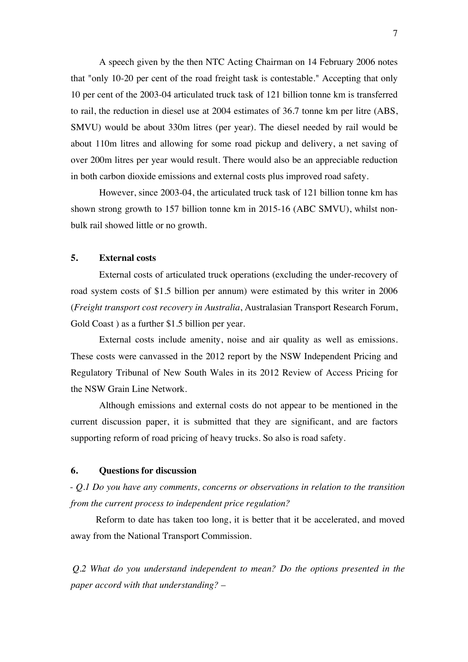A speech given by the then NTC Acting Chairman on 14 February 2006 notes that "only 10-20 per cent of the road freight task is contestable." Accepting that only 10 per cent of the 2003-04 articulated truck task of 121 billion tonne km is transferred to rail, the reduction in diesel use at 2004 estimates of 36.7 tonne km per litre (ABS, SMVU) would be about 330m litres (per year). The diesel needed by rail would be about 110m litres and allowing for some road pickup and delivery, a net saving of over 200m litres per year would result. There would also be an appreciable reduction in both carbon dioxide emissions and external costs plus improved road safety.

However, since 2003-04, the articulated truck task of 121 billion tonne km has shown strong growth to 157 billion tonne km in 2015-16 (ABC SMVU), whilst nonbulk rail showed little or no growth.

### **5. External costs**

External costs of articulated truck operations (excluding the under-recovery of road system costs of \$1.5 billion per annum) were estimated by this writer in 2006 (*Freight transport cost recovery in Australia*, Australasian Transport Research Forum, Gold Coast ) as a further \$1.5 billion per year.

External costs include amenity, noise and air quality as well as emissions. These costs were canvassed in the 2012 report by the NSW Independent Pricing and Regulatory Tribunal of New South Wales in its 2012 Review of Access Pricing for the NSW Grain Line Network.

Although emissions and external costs do not appear to be mentioned in the current discussion paper, it is submitted that they are significant, and are factors supporting reform of road pricing of heavy trucks. So also is road safety.

## **6. Questions for discussion**

- *Q.1 Do you have any comments, concerns or observations in relation to the transition from the current process to independent price regulation?* 

Reform to date has taken too long, it is better that it be accelerated, and moved away from the National Transport Commission.

*Q.2 What do you understand independent to mean? Do the options presented in the paper accord with that understanding?* –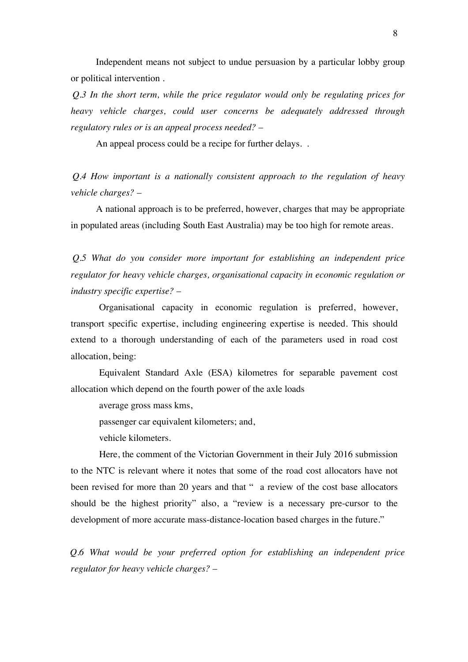Independent means not subject to undue persuasion by a particular lobby group or political intervention .

*Q.3 In the short term, while the price regulator would only be regulating prices for heavy vehicle charges, could user concerns be adequately addressed through regulatory rules or is an appeal process needed?* –

An appeal process could be a recipe for further delays...

*Q.4 How important is a nationally consistent approach to the regulation of heavy vehicle charges?* –

A national approach is to be preferred, however, charges that may be appropriate in populated areas (including South East Australia) may be too high for remote areas.

*Q.5 What do you consider more important for establishing an independent price regulator for heavy vehicle charges, organisational capacity in economic regulation or industry specific expertise?* –

Organisational capacity in economic regulation is preferred, however, transport specific expertise, including engineering expertise is needed. This should extend to a thorough understanding of each of the parameters used in road cost allocation, being:

Equivalent Standard Axle (ESA) kilometres for separable pavement cost allocation which depend on the fourth power of the axle loads

average gross mass kms,

passenger car equivalent kilometers; and,

vehicle kilometers.

Here, the comment of the Victorian Government in their July 2016 submission to the NTC is relevant where it notes that some of the road cost allocators have not been revised for more than 20 years and that " a review of the cost base allocators should be the highest priority" also, a "review is a necessary pre-cursor to the development of more accurate mass-distance-location based charges in the future."

*Q.6 What would be your preferred option for establishing an independent price regulator for heavy vehicle charges?* –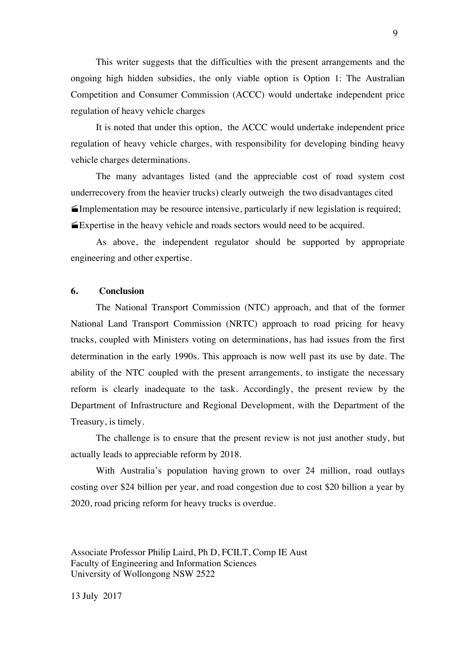This writer suggests that the difficulties with the present arrangements and the ongoing high hidden subsidies, the only viable option is Option 1: The Australian Competition and Consumer Commission (ACCC) would undertake independent price regulation of heavy vehicle charges

It is noted that under this option, the ACCC would undertake independent price regulation of heavy vehicle charges, with responsibility for developing binding heavy vehicle charges determinations.

The many advantages listed (and the appreciable cost of road system cost underrecovery from the heavier trucks) clearly outweigh the two disadvantages cited · Implementation may be resource intensive, particularly if new legislation is required; · Expertise in the heavy vehicle and roads sectors would need to be acquired.

As above, the independent regulator should be supported by appropriate engineering and other expertise.

# **6. Conclusion**

The National Transport Commission (NTC) approach, and that of the former National Land Transport Commission (NRTC) approach to road pricing for heavy trucks, coupled with Ministers voting on determinations, has had issues from the first determination in the early 1990s. This approach is now well past its use by date. The ability of the NTC coupled with the present arrangements, to instigate the necessary reform is clearly inadequate to the task. Accordingly, the present review by the Department of Infrastructure and Regional Development, with the Department of the Treasury, is timely.

The challenge is to ensure that the present review is not just another study, but actually leads to appreciable reform by 2018.

With Australia's population having grown to over 24 million, road outlays costing over \$24 billion per year, and road congestion due to cost \$20 billion a year by 2020, road pricing reform for heavy trucks is overdue.

Associate Professor Philip Laird, Ph D, FCILT, Comp IE Aust Faculty of Engineering and Information Sciences University of Wollongong NSW 2522

13 July 2017